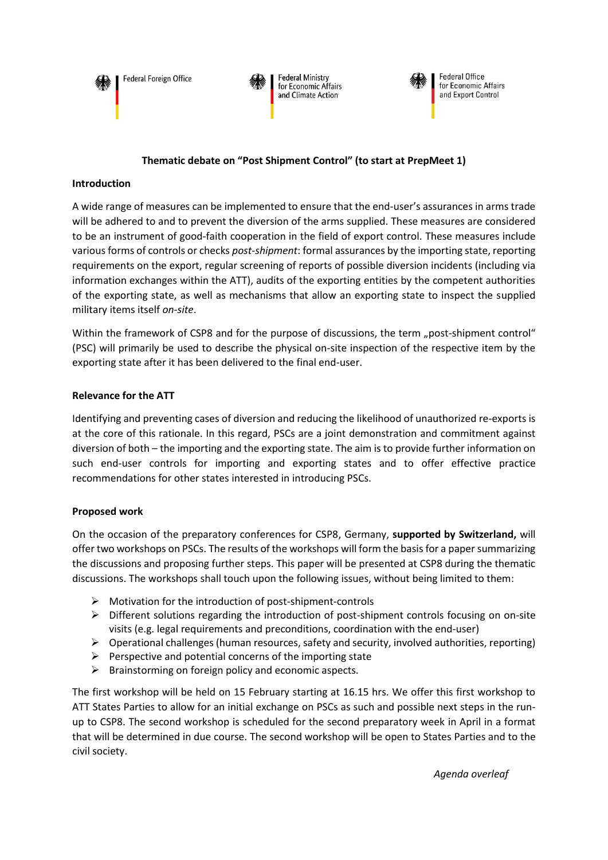**Federal Foreign Office** 





## **Thematic debate on "Post Shipment Control" (to start at PrepMeet 1)**

#### **Introduction**

A wide range of measures can be implemented to ensure that the end-user's assurances in arms trade will be adhered to and to prevent the diversion of the arms supplied. These measures are considered to be an instrument of good-faith cooperation in the field of export control. These measures include various forms of controls or checks *post-shipment*: formal assurances by the importing state, reporting requirements on the export, regular screening of reports of possible diversion incidents (including via information exchanges within the ATT), audits of the exporting entities by the competent authorities of the exporting state, as well as mechanisms that allow an exporting state to inspect the supplied military items itself *on-site*.

Within the framework of CSP8 and for the purpose of discussions, the term "post-shipment control" (PSC) will primarily be used to describe the physical on-site inspection of the respective item by the exporting state after it has been delivered to the final end-user.

### **Relevance for the ATT**

Identifying and preventing cases of diversion and reducing the likelihood of unauthorized re-exports is at the core of this rationale. In this regard, PSCs are a joint demonstration and commitment against diversion of both – the importing and the exporting state. The aim is to provide further information on such end-user controls for importing and exporting states and to offer effective practice recommendations for other states interested in introducing PSCs.

### **Proposed work**

On the occasion of the preparatory conferences for CSP8, Germany, **supported by Switzerland,** will offer two workshops on PSCs. The results of the workshops will form the basis for a paper summarizing the discussions and proposing further steps. This paper will be presented at CSP8 during the thematic discussions. The workshops shall touch upon the following issues, without being limited to them:

- $\triangleright$  Motivation for the introduction of post-shipment-controls
- $\triangleright$  Different solutions regarding the introduction of post-shipment controls focusing on on-site visits (e.g. legal requirements and preconditions, coordination with the end-user)
- $\triangleright$  Operational challenges (human resources, safety and security, involved authorities, reporting)
- $\triangleright$  Perspective and potential concerns of the importing state
- $\triangleright$  Brainstorming on foreign policy and economic aspects.

The first workshop will be held on 15 February starting at 16.15 hrs. We offer this first workshop to ATT States Parties to allow for an initial exchange on PSCs as such and possible next steps in the runup to CSP8. The second workshop is scheduled for the second preparatory week in April in a format that will be determined in due course. The second workshop will be open to States Parties and to the civil society.